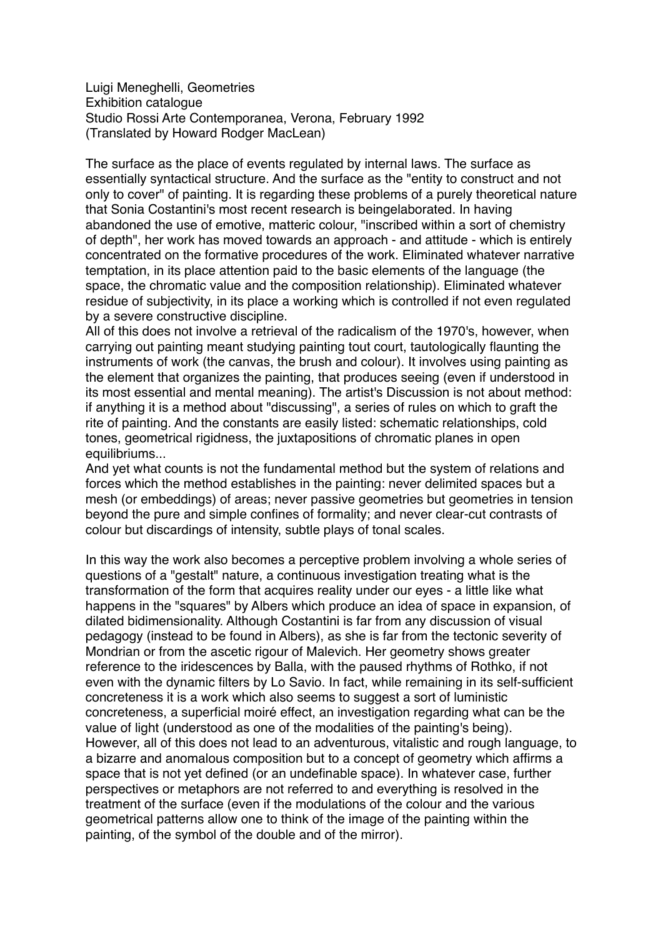Luigi Meneghelli, Geometries Exhibition catalogue Studio Rossi Arte Contemporanea, Verona, February 1992 (Translated by Howard Rodger MacLean)

The surface as the place of events regulated by internal laws. The surface as essentially syntactical structure. And the surface as the "entity to construct and not only to cover" of painting. It is regarding these problems of a purely theoretical nature that Sonia Costantini's most recent research is beingelaborated. In having abandoned the use of emotive, matteric colour, "inscribed within a sort of chemistry of depth", her work has moved towards an approach - and attitude - which is entirely concentrated on the formative procedures of the work. Eliminated whatever narrative temptation, in its place attention paid to the basic elements of the language (the space, the chromatic value and the composition relationship). Eliminated whatever residue of subjectivity, in its place a working which is controlled if not even regulated by a severe constructive discipline.

All of this does not involve a retrieval of the radicalism of the 1970's, however, when carrying out painting meant studying painting tout court, tautologically flaunting the instruments of work (the canvas, the brush and colour). It involves using painting as the element that organizes the painting, that produces seeing (even if understood in its most essential and mental meaning). The artist's Discussion is not about method: if anything it is a method about "discussing", a series of rules on which to graft the rite of painting. And the constants are easily listed: schematic relationships, cold tones, geometrical rigidness, the juxtapositions of chromatic planes in open equilibriums...

And yet what counts is not the fundamental method but the system of relations and forces which the method establishes in the painting: never delimited spaces but a mesh (or embeddings) of areas; never passive geometries but geometries in tension beyond the pure and simple confines of formality; and never clear-cut contrasts of colour but discardings of intensity, subtle plays of tonal scales.

In this way the work also becomes a perceptive problem involving a whole series of questions of a "gestalt" nature, a continuous investigation treating what is the transformation of the form that acquires reality under our eyes - a little like what happens in the "squares" by Albers which produce an idea of space in expansion, of dilated bidimensionality. Although Costantini is far from any discussion of visual pedagogy (instead to be found in Albers), as she is far from the tectonic severity of Mondrian or from the ascetic rigour of Malevich. Her geometry shows greater reference to the iridescences by Balla, with the paused rhythms of Rothko, if not even with the dynamic filters by Lo Savio. In fact, while remaining in its self-sufficient concreteness it is a work which also seems to suggest a sort of luministic concreteness, a superficial moiré effect, an investigation regarding what can be the value of light (understood as one of the modalities of the painting's being). However, all of this does not lead to an adventurous, vitalistic and rough language, to a bizarre and anomalous composition but to a concept of geometry which affirms a space that is not yet defined (or an undefinable space). In whatever case, further perspectives or metaphors are not referred to and everything is resolved in the treatment of the surface (even if the modulations of the colour and the various geometrical patterns allow one to think of the image of the painting within the painting, of the symbol of the double and of the mirror).